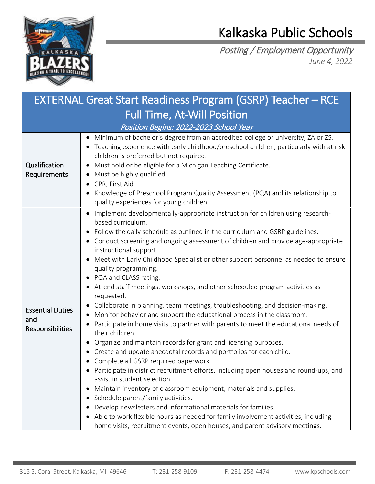

## Kalkaska Public Schools

Posting / Employment Opportunity *June 4, 2022*

| <b>EXTERNAL Great Start Readiness Program (GSRP) Teacher - RCE</b> |                                                                                                                                                                                                                                                                                                                                                                                                                                                                                                                                                                                                                                                                                                                                                                                                                                                                                                                                                                                                                                                                                                                                                                                                                                                                                                                                                                                                                                                                                |  |  |
|--------------------------------------------------------------------|--------------------------------------------------------------------------------------------------------------------------------------------------------------------------------------------------------------------------------------------------------------------------------------------------------------------------------------------------------------------------------------------------------------------------------------------------------------------------------------------------------------------------------------------------------------------------------------------------------------------------------------------------------------------------------------------------------------------------------------------------------------------------------------------------------------------------------------------------------------------------------------------------------------------------------------------------------------------------------------------------------------------------------------------------------------------------------------------------------------------------------------------------------------------------------------------------------------------------------------------------------------------------------------------------------------------------------------------------------------------------------------------------------------------------------------------------------------------------------|--|--|
| <b>Full Time, At-Will Position</b>                                 |                                                                                                                                                                                                                                                                                                                                                                                                                                                                                                                                                                                                                                                                                                                                                                                                                                                                                                                                                                                                                                                                                                                                                                                                                                                                                                                                                                                                                                                                                |  |  |
| Position Begins: 2022-2023 School Year                             |                                                                                                                                                                                                                                                                                                                                                                                                                                                                                                                                                                                                                                                                                                                                                                                                                                                                                                                                                                                                                                                                                                                                                                                                                                                                                                                                                                                                                                                                                |  |  |
| Qualification<br>Requirements                                      | Minimum of bachelor's degree from an accredited college or university, ZA or ZS.<br>• Teaching experience with early childhood/preschool children, particularly with at risk<br>children is preferred but not required.<br>Must hold or be eligible for a Michigan Teaching Certificate.<br>Must be highly qualified.<br>CPR, First Aid.<br>Knowledge of Preschool Program Quality Assessment (PQA) and its relationship to<br>quality experiences for young children.                                                                                                                                                                                                                                                                                                                                                                                                                                                                                                                                                                                                                                                                                                                                                                                                                                                                                                                                                                                                         |  |  |
| <b>Essential Duties</b><br>and<br>Responsibilities                 | Implement developmentally-appropriate instruction for children using research-<br>based curriculum.<br>Follow the daily schedule as outlined in the curriculum and GSRP guidelines.<br>• Conduct screening and ongoing assessment of children and provide age-appropriate<br>instructional support.<br>Meet with Early Childhood Specialist or other support personnel as needed to ensure<br>quality programming.<br>• PQA and CLASS rating.<br>Attend staff meetings, workshops, and other scheduled program activities as<br>requested.<br>Collaborate in planning, team meetings, troubleshooting, and decision-making.<br>Monitor behavior and support the educational process in the classroom.<br>Participate in home visits to partner with parents to meet the educational needs of<br>their children.<br>Organize and maintain records for grant and licensing purposes.<br>Create and update anecdotal records and portfolios for each child.<br>• Complete all GSRP required paperwork.<br>Participate in district recruitment efforts, including open houses and round-ups, and<br>assist in student selection.<br>Maintain inventory of classroom equipment, materials and supplies.<br>Schedule parent/family activities.<br>Develop newsletters and informational materials for families.<br>Able to work flexible hours as needed for family involvement activities, including<br>home visits, recruitment events, open houses, and parent advisory meetings. |  |  |